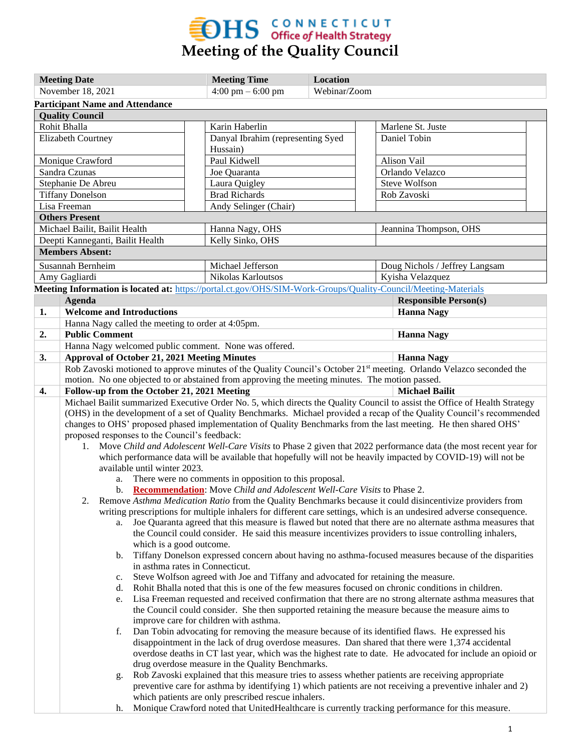

| <b>Meeting Date</b>     |                                                                                                                                                                                                                      | <b>Meeting Time</b>                                 | Location     |                                |  |  |
|-------------------------|----------------------------------------------------------------------------------------------------------------------------------------------------------------------------------------------------------------------|-----------------------------------------------------|--------------|--------------------------------|--|--|
| November 18, 2021       |                                                                                                                                                                                                                      | $4:00 \text{ pm} - 6:00 \text{ pm}$                 | Webinar/Zoom |                                |  |  |
|                         | <b>Participant Name and Attendance</b>                                                                                                                                                                               |                                                     |              |                                |  |  |
|                         | <b>Quality Council</b>                                                                                                                                                                                               |                                                     |              |                                |  |  |
|                         | Rohit Bhalla                                                                                                                                                                                                         | Karin Haberlin                                      |              | Marlene St. Juste              |  |  |
|                         | <b>Elizabeth Courtney</b>                                                                                                                                                                                            | Danyal Ibrahim (representing Syed                   |              | Daniel Tobin                   |  |  |
|                         | Monique Crawford                                                                                                                                                                                                     | Hussain)<br>Paul Kidwell                            |              | Alison Vail                    |  |  |
|                         | Sandra Czunas                                                                                                                                                                                                        | Joe Quaranta                                        |              | Orlando Velazco                |  |  |
| Stephanie De Abreu      |                                                                                                                                                                                                                      | Laura Quigley                                       |              | Steve Wolfson                  |  |  |
| <b>Tiffany Donelson</b> |                                                                                                                                                                                                                      | <b>Brad Richards</b>                                |              | Rob Zavoski                    |  |  |
| Lisa Freeman            |                                                                                                                                                                                                                      | Andy Selinger (Chair)                               |              |                                |  |  |
|                         | <b>Others Present</b>                                                                                                                                                                                                |                                                     |              |                                |  |  |
|                         | Michael Bailit, Bailit Health                                                                                                                                                                                        | Hanna Nagy, OHS                                     |              | Jeannina Thompson, OHS         |  |  |
|                         | Deepti Kanneganti, Bailit Health                                                                                                                                                                                     | Kelly Sinko, OHS                                    |              |                                |  |  |
|                         | <b>Members Absent:</b>                                                                                                                                                                                               |                                                     |              |                                |  |  |
|                         | Susannah Bernheim                                                                                                                                                                                                    | Michael Jefferson                                   |              | Doug Nichols / Jeffrey Langsam |  |  |
|                         | Amy Gagliardi                                                                                                                                                                                                        | Nikolas Karloutsos                                  |              | Kyisha Velazquez               |  |  |
|                         | Meeting Information is located at: https://portal.ct.gov/OHS/SIM-Work-Groups/Quality-Council/Meeting-Materials                                                                                                       |                                                     |              |                                |  |  |
|                         | Agenda                                                                                                                                                                                                               |                                                     |              | <b>Responsible Person(s)</b>   |  |  |
| 1.                      | <b>Welcome and Introductions</b>                                                                                                                                                                                     |                                                     |              | <b>Hanna Nagy</b>              |  |  |
|                         | Hanna Nagy called the meeting to order at 4:05pm.                                                                                                                                                                    |                                                     |              |                                |  |  |
| 2.                      | <b>Public Comment</b>                                                                                                                                                                                                |                                                     |              | <b>Hanna Nagy</b>              |  |  |
|                         | Hanna Nagy welcomed public comment. None was offered.                                                                                                                                                                |                                                     |              |                                |  |  |
| 3.                      | <b>Approval of October 21, 2021 Meeting Minutes</b>                                                                                                                                                                  |                                                     |              | <b>Hanna Nagy</b>              |  |  |
|                         | Rob Zavoski motioned to approve minutes of the Quality Council's October 21 <sup>st</sup> meeting. Orlando Velazco seconded the                                                                                      |                                                     |              |                                |  |  |
|                         | motion. No one objected to or abstained from approving the meeting minutes. The motion passed.                                                                                                                       |                                                     |              |                                |  |  |
| 4.                      | Follow-up from the October 21, 2021 Meeting<br><b>Michael Bailit</b><br>Michael Bailit summarized Executive Order No. 5, which directs the Quality Council to assist the Office of Health Strategy                   |                                                     |              |                                |  |  |
|                         |                                                                                                                                                                                                                      |                                                     |              |                                |  |  |
|                         | (OHS) in the development of a set of Quality Benchmarks. Michael provided a recap of the Quality Council's recommended                                                                                               |                                                     |              |                                |  |  |
|                         | changes to OHS' proposed phased implementation of Quality Benchmarks from the last meeting. He then shared OHS'                                                                                                      |                                                     |              |                                |  |  |
|                         | proposed responses to the Council's feedback:                                                                                                                                                                        |                                                     |              |                                |  |  |
|                         | 1. Move Child and Adolescent Well-Care Visits to Phase 2 given that 2022 performance data (the most recent year for                                                                                                  |                                                     |              |                                |  |  |
|                         | which performance data will be available that hopefully will not be heavily impacted by COVID-19) will not be<br>available until winter 2023.                                                                        |                                                     |              |                                |  |  |
|                         | a.                                                                                                                                                                                                                   |                                                     |              |                                |  |  |
|                         | There were no comments in opposition to this proposal.<br>b. Recommendation: Move Child and Adolescent Well-Care Visits to Phase 2.                                                                                  |                                                     |              |                                |  |  |
|                         | Remove Asthma Medication Ratio from the Quality Benchmarks because it could disincentivize providers from<br>2.                                                                                                      |                                                     |              |                                |  |  |
|                         | writing prescriptions for multiple inhalers for different care settings, which is an undesired adverse consequence.                                                                                                  |                                                     |              |                                |  |  |
|                         | Joe Quaranta agreed that this measure is flawed but noted that there are no alternate asthma measures that<br>a.                                                                                                     |                                                     |              |                                |  |  |
|                         | the Council could consider. He said this measure incentivizes providers to issue controlling inhalers,                                                                                                               |                                                     |              |                                |  |  |
|                         | which is a good outcome.                                                                                                                                                                                             |                                                     |              |                                |  |  |
|                         | Tiffany Donelson expressed concern about having no asthma-focused measures because of the disparities<br>b.                                                                                                          |                                                     |              |                                |  |  |
|                         | in asthma rates in Connecticut.                                                                                                                                                                                      |                                                     |              |                                |  |  |
|                         | Steve Wolfson agreed with Joe and Tiffany and advocated for retaining the measure.<br>c.                                                                                                                             |                                                     |              |                                |  |  |
|                         | Rohit Bhalla noted that this is one of the few measures focused on chronic conditions in children.<br>d.<br>Lisa Freeman requested and received confirmation that there are no strong alternate asthma measures that |                                                     |              |                                |  |  |
|                         | e.                                                                                                                                                                                                                   |                                                     |              |                                |  |  |
|                         | the Council could consider. She then supported retaining the measure because the measure aims to                                                                                                                     |                                                     |              |                                |  |  |
|                         | improve care for children with asthma.<br>f.                                                                                                                                                                         |                                                     |              |                                |  |  |
|                         | Dan Tobin advocating for removing the measure because of its identified flaws. He expressed his<br>disappointment in the lack of drug overdose measures. Dan shared that there were 1,374 accidental                 |                                                     |              |                                |  |  |
|                         | overdose deaths in CT last year, which was the highest rate to date. He advocated for include an opioid or                                                                                                           |                                                     |              |                                |  |  |
|                         | drug overdose measure in the Quality Benchmarks.                                                                                                                                                                     |                                                     |              |                                |  |  |
|                         | Rob Zavoski explained that this measure tries to assess whether patients are receiving appropriate<br>g.                                                                                                             |                                                     |              |                                |  |  |
|                         | preventive care for asthma by identifying 1) which patients are not receiving a preventive inhaler and 2)                                                                                                            |                                                     |              |                                |  |  |
|                         |                                                                                                                                                                                                                      | which patients are only prescribed rescue inhalers. |              |                                |  |  |
|                         | Monique Crawford noted that UnitedHealthcare is currently tracking performance for this measure.<br>h.                                                                                                               |                                                     |              |                                |  |  |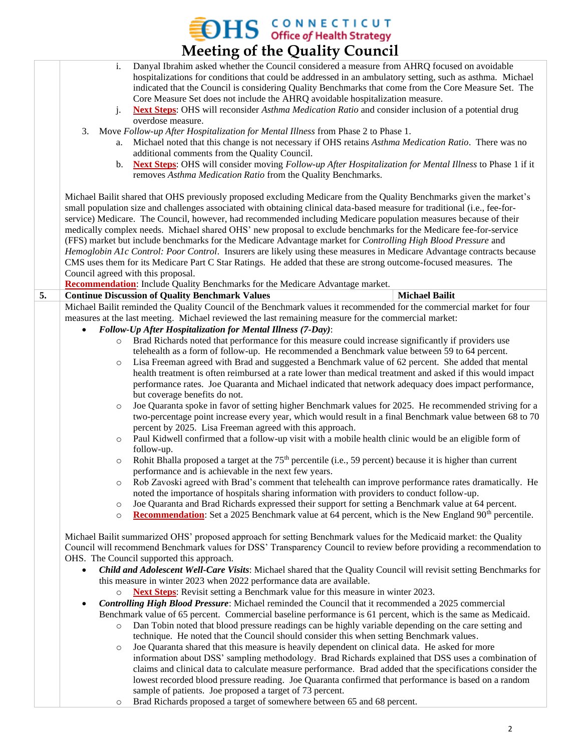**EDHS** CONNECTICUT<br>Meeting of the Quality Council

|    | <b>IVICCUTILE OF THE QUALITY COUNCIL</b>                                                                                                                                                                                                                                                                                                                                                                                                                                                                                                                                                                                                                                                                                                                                                                                                                                                                                                                                                |  |  |
|----|-----------------------------------------------------------------------------------------------------------------------------------------------------------------------------------------------------------------------------------------------------------------------------------------------------------------------------------------------------------------------------------------------------------------------------------------------------------------------------------------------------------------------------------------------------------------------------------------------------------------------------------------------------------------------------------------------------------------------------------------------------------------------------------------------------------------------------------------------------------------------------------------------------------------------------------------------------------------------------------------|--|--|
|    | Danyal Ibrahim asked whether the Council considered a measure from AHRQ focused on avoidable<br>i.<br>hospitalizations for conditions that could be addressed in an ambulatory setting, such as asthma. Michael<br>indicated that the Council is considering Quality Benchmarks that come from the Core Measure Set. The<br>Core Measure Set does not include the AHRQ avoidable hospitalization measure.<br><b>Next Steps:</b> OHS will reconsider <i>Asthma Medication Ratio</i> and consider inclusion of a potential drug<br>j.<br>overdose measure.                                                                                                                                                                                                                                                                                                                                                                                                                                |  |  |
|    | 3. Move Follow-up After Hospitalization for Mental Illness from Phase 2 to Phase 1.<br>Michael noted that this change is not necessary if OHS retains Asthma Medication Ratio. There was no<br>a.<br>additional comments from the Quality Council.<br>Next Steps: OHS will consider moving Follow-up After Hospitalization for Mental Illness to Phase 1 if it<br>b.<br>removes Asthma Medication Ratio from the Quality Benchmarks.                                                                                                                                                                                                                                                                                                                                                                                                                                                                                                                                                    |  |  |
|    | Michael Bailit shared that OHS previously proposed excluding Medicare from the Quality Benchmarks given the market's<br>small population size and challenges associated with obtaining clinical data-based measure for traditional (i.e., fee-for-<br>service) Medicare. The Council, however, had recommended including Medicare population measures because of their<br>medically complex needs. Michael shared OHS' new proposal to exclude benchmarks for the Medicare fee-for-service<br>(FFS) market but include benchmarks for the Medicare Advantage market for Controlling High Blood Pressure and<br>Hemoglobin A1c Control: Poor Control. Insurers are likely using these measures in Medicare Advantage contracts because<br>CMS uses them for its Medicare Part C Star Ratings. He added that these are strong outcome-focused measures. The<br>Council agreed with this proposal.<br><b>Recommendation:</b> Include Quality Benchmarks for the Medicare Advantage market. |  |  |
| 5. | <b>Michael Bailit</b><br><b>Continue Discussion of Quality Benchmark Values</b>                                                                                                                                                                                                                                                                                                                                                                                                                                                                                                                                                                                                                                                                                                                                                                                                                                                                                                         |  |  |
|    | Michael Bailit reminded the Quality Council of the Benchmark values it recommended for the commercial market for four<br>measures at the last meeting. Michael reviewed the last remaining measure for the commercial market:<br>Follow-Up After Hospitalization for Mental Illness (7-Day):                                                                                                                                                                                                                                                                                                                                                                                                                                                                                                                                                                                                                                                                                            |  |  |
|    | Brad Richards noted that performance for this measure could increase significantly if providers use<br>$\circ$                                                                                                                                                                                                                                                                                                                                                                                                                                                                                                                                                                                                                                                                                                                                                                                                                                                                          |  |  |
|    | telehealth as a form of follow-up. He recommended a Benchmark value between 59 to 64 percent.                                                                                                                                                                                                                                                                                                                                                                                                                                                                                                                                                                                                                                                                                                                                                                                                                                                                                           |  |  |
|    | Lisa Freeman agreed with Brad and suggested a Benchmark value of 62 percent. She added that mental<br>$\circ$                                                                                                                                                                                                                                                                                                                                                                                                                                                                                                                                                                                                                                                                                                                                                                                                                                                                           |  |  |
|    | health treatment is often reimbursed at a rate lower than medical treatment and asked if this would impact<br>performance rates. Joe Quaranta and Michael indicated that network adequacy does impact performance,<br>but coverage benefits do not.                                                                                                                                                                                                                                                                                                                                                                                                                                                                                                                                                                                                                                                                                                                                     |  |  |
|    | Joe Quaranta spoke in favor of setting higher Benchmark values for 2025. He recommended striving for a<br>$\circ$<br>two-percentage point increase every year, which would result in a final Benchmark value between 68 to 70<br>percent by 2025. Lisa Freeman agreed with this approach.                                                                                                                                                                                                                                                                                                                                                                                                                                                                                                                                                                                                                                                                                               |  |  |
|    | Paul Kidwell confirmed that a follow-up visit with a mobile health clinic would be an eligible form of<br>$\circ$<br>follow-up.                                                                                                                                                                                                                                                                                                                                                                                                                                                                                                                                                                                                                                                                                                                                                                                                                                                         |  |  |
|    | Rohit Bhalla proposed a target at the 75 <sup>th</sup> percentile (i.e., 59 percent) because it is higher than current<br>$\circ$<br>performance and is achievable in the next few years.                                                                                                                                                                                                                                                                                                                                                                                                                                                                                                                                                                                                                                                                                                                                                                                               |  |  |
|    | Rob Zavoski agreed with Brad's comment that telehealth can improve performance rates dramatically. He<br>$\circ$<br>noted the importance of hospitals sharing information with providers to conduct follow-up.<br>Joe Quaranta and Brad Richards expressed their support for setting a Benchmark value at 64 percent.<br>$\circ$                                                                                                                                                                                                                                                                                                                                                                                                                                                                                                                                                                                                                                                        |  |  |
|    | <b>Recommendation:</b> Set a 2025 Benchmark value at 64 percent, which is the New England 90 <sup>th</sup> percentile.<br>$\circ$                                                                                                                                                                                                                                                                                                                                                                                                                                                                                                                                                                                                                                                                                                                                                                                                                                                       |  |  |
|    | Michael Bailit summarized OHS' proposed approach for setting Benchmark values for the Medicaid market: the Quality<br>Council will recommend Benchmark values for DSS' Transparency Council to review before providing a recommendation to<br>OHS. The Council supported this approach.                                                                                                                                                                                                                                                                                                                                                                                                                                                                                                                                                                                                                                                                                                 |  |  |
|    | Child and Adolescent Well-Care Visits: Michael shared that the Quality Council will revisit setting Benchmarks for                                                                                                                                                                                                                                                                                                                                                                                                                                                                                                                                                                                                                                                                                                                                                                                                                                                                      |  |  |
|    | this measure in winter 2023 when 2022 performance data are available.                                                                                                                                                                                                                                                                                                                                                                                                                                                                                                                                                                                                                                                                                                                                                                                                                                                                                                                   |  |  |
|    | <b>Next Steps:</b> Revisit setting a Benchmark value for this measure in winter 2023.<br>$\circ$                                                                                                                                                                                                                                                                                                                                                                                                                                                                                                                                                                                                                                                                                                                                                                                                                                                                                        |  |  |
|    | <b>Controlling High Blood Pressure:</b> Michael reminded the Council that it recommended a 2025 commercial                                                                                                                                                                                                                                                                                                                                                                                                                                                                                                                                                                                                                                                                                                                                                                                                                                                                              |  |  |
|    | Benchmark value of 65 percent. Commercial baseline performance is 61 percent, which is the same as Medicaid.<br>Dan Tobin noted that blood pressure readings can be highly variable depending on the care setting and<br>$\circ$<br>technique. He noted that the Council should consider this when setting Benchmark values.                                                                                                                                                                                                                                                                                                                                                                                                                                                                                                                                                                                                                                                            |  |  |
|    | Joe Quaranta shared that this measure is heavily dependent on clinical data. He asked for more<br>$\circ$                                                                                                                                                                                                                                                                                                                                                                                                                                                                                                                                                                                                                                                                                                                                                                                                                                                                               |  |  |
|    | information about DSS' sampling methodology. Brad Richards explained that DSS uses a combination of<br>claims and clinical data to calculate measure performance. Brad added that the specifications consider the<br>lowest recorded blood pressure reading. Joe Quaranta confirmed that performance is based on a random                                                                                                                                                                                                                                                                                                                                                                                                                                                                                                                                                                                                                                                               |  |  |
|    | sample of patients. Joe proposed a target of 73 percent.<br>Brad Richards proposed a target of somewhere between 65 and 68 percent.<br>O                                                                                                                                                                                                                                                                                                                                                                                                                                                                                                                                                                                                                                                                                                                                                                                                                                                |  |  |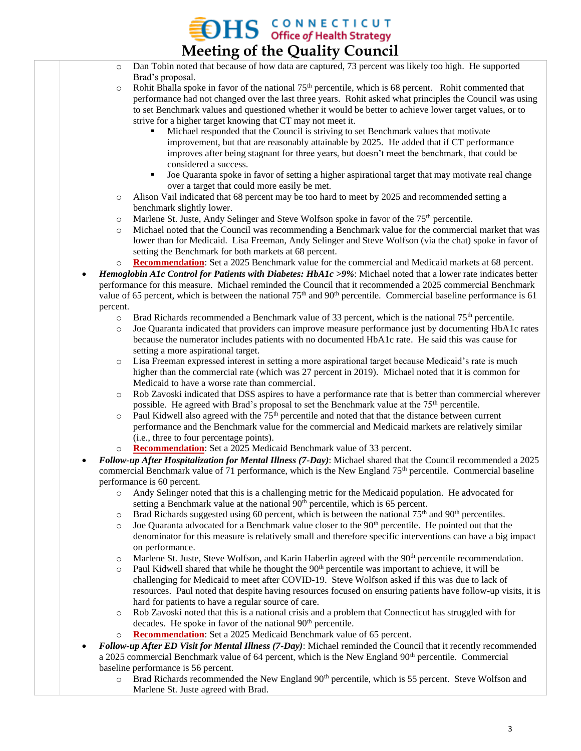## $\mathbf{H}$  S CONNECTICUT **Meeting of the Quality Council**

- o Dan Tobin noted that because of how data are captured, 73 percent was likely too high. He supported Brad's proposal.
- $\circ$  Rohit Bhalla spoke in favor of the national 75<sup>th</sup> percentile, which is 68 percent. Rohit commented that performance had not changed over the last three years. Rohit asked what principles the Council was using to set Benchmark values and questioned whether it would be better to achieve lower target values, or to strive for a higher target knowing that CT may not meet it.
	- Michael responded that the Council is striving to set Benchmark values that motivate improvement, but that are reasonably attainable by 2025. He added that if CT performance improves after being stagnant for three years, but doesn't meet the benchmark, that could be considered a success.
	- Joe Quaranta spoke in favor of setting a higher aspirational target that may motivate real change over a target that could more easily be met.
- o Alison Vail indicated that 68 percent may be too hard to meet by 2025 and recommended setting a benchmark slightly lower.
- o Marlene St. Juste, Andy Selinger and Steve Wolfson spoke in favor of the 75<sup>th</sup> percentile.
- o Michael noted that the Council was recommending a Benchmark value for the commercial market that was lower than for Medicaid. Lisa Freeman, Andy Selinger and Steve Wolfson (via the chat) spoke in favor of setting the Benchmark for both markets at 68 percent.
- o **Recommendation**: Set a 2025 Benchmark value for the commercial and Medicaid markets at 68 percent.
- *Hemoglobin A1c Control for Patients with Diabetes: HbA1c >9%*: Michael noted that a lower rate indicates better performance for this measure. Michael reminded the Council that it recommended a 2025 commercial Benchmark value of 65 percent, which is between the national  $75<sup>th</sup>$  and  $90<sup>th</sup>$  percentile. Commercial baseline performance is 61 percent.
	- $\circ$  Brad Richards recommended a Benchmark value of 33 percent, which is the national 75<sup>th</sup> percentile.
	- o Joe Quaranta indicated that providers can improve measure performance just by documenting HbA1c rates because the numerator includes patients with no documented HbA1c rate. He said this was cause for setting a more aspirational target.
	- o Lisa Freeman expressed interest in setting a more aspirational target because Medicaid's rate is much higher than the commercial rate (which was 27 percent in 2019). Michael noted that it is common for Medicaid to have a worse rate than commercial.
	- o Rob Zavoski indicated that DSS aspires to have a performance rate that is better than commercial wherever possible. He agreed with Brad's proposal to set the Benchmark value at the 75<sup>th</sup> percentile.
	- o Paul Kidwell also agreed with the 75<sup>th</sup> percentile and noted that that the distance between current performance and the Benchmark value for the commercial and Medicaid markets are relatively similar (i.e., three to four percentage points).
	- o **Recommendation**: Set a 2025 Medicaid Benchmark value of 33 percent.
- *Follow-up After Hospitalization for Mental Illness (7-Day)*: Michael shared that the Council recommended a 2025 commercial Benchmark value of 71 performance, which is the New England 75<sup>th</sup> percentile. Commercial baseline performance is 60 percent.
	- o Andy Selinger noted that this is a challenging metric for the Medicaid population. He advocated for setting a Benchmark value at the national  $90<sup>th</sup>$  percentile, which is 65 percent.
	- $\circ$  Brad Richards suggested using 60 percent, which is between the national 75<sup>th</sup> and 90<sup>th</sup> percentiles.
	- $\circ$  Joe Quaranta advocated for a Benchmark value closer to the 90<sup>th</sup> percentile. He pointed out that the denominator for this measure is relatively small and therefore specific interventions can have a big impact on performance.
	- $\circ$  Marlene St. Juste, Steve Wolfson, and Karin Haberlin agreed with the 90<sup>th</sup> percentile recommendation.
	- o Paul Kidwell shared that while he thought the 90<sup>th</sup> percentile was important to achieve, it will be challenging for Medicaid to meet after COVID-19. Steve Wolfson asked if this was due to lack of resources. Paul noted that despite having resources focused on ensuring patients have follow-up visits, it is hard for patients to have a regular source of care.
	- o Rob Zavoski noted that this is a national crisis and a problem that Connecticut has struggled with for decades. He spoke in favor of the national  $90<sup>th</sup>$  percentile.
	- **Recommendation**: Set a 2025 Medicaid Benchmark value of 65 percent.
- *Follow-up After ED Visit for Mental Illness (7-Day)*: Michael reminded the Council that it recently recommended a 2025 commercial Benchmark value of 64 percent, which is the New England  $90<sup>th</sup>$  percentile. Commercial baseline performance is 56 percent.
	- $\circ$  Brad Richards recommended the New England 90<sup>th</sup> percentile, which is 55 percent. Steve Wolfson and Marlene St. Juste agreed with Brad.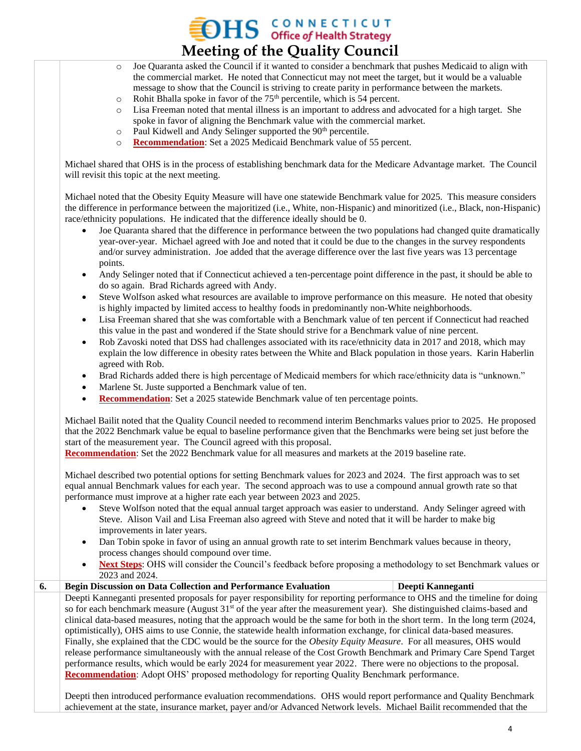## $\mathbf{H}$  S CONNECTICUT **Meeting of the Quality Council**

- o Joe Quaranta asked the Council if it wanted to consider a benchmark that pushes Medicaid to align with the commercial market. He noted that Connecticut may not meet the target, but it would be a valuable message to show that the Council is striving to create parity in performance between the markets.
- $\circ$  Rohit Bhalla spoke in favor of the 75<sup>th</sup> percentile, which is 54 percent.
- o Lisa Freeman noted that mental illness is an important to address and advocated for a high target. She spoke in favor of aligning the Benchmark value with the commercial market.
- $\circ$  Paul Kidwell and Andy Selinger supported the 90<sup>th</sup> percentile.
- o **Recommendation**: Set a 2025 Medicaid Benchmark value of 55 percent.

Michael shared that OHS is in the process of establishing benchmark data for the Medicare Advantage market. The Council will revisit this topic at the next meeting.

Michael noted that the Obesity Equity Measure will have one statewide Benchmark value for 2025. This measure considers the difference in performance between the majoritized (i.e., White, non-Hispanic) and minoritized (i.e., Black, non-Hispanic) race/ethnicity populations. He indicated that the difference ideally should be 0.

- Joe Quaranta shared that the difference in performance between the two populations had changed quite dramatically year-over-year. Michael agreed with Joe and noted that it could be due to the changes in the survey respondents and/or survey administration. Joe added that the average difference over the last five years was 13 percentage points.
- Andy Selinger noted that if Connecticut achieved a ten-percentage point difference in the past, it should be able to do so again. Brad Richards agreed with Andy.
- Steve Wolfson asked what resources are available to improve performance on this measure. He noted that obesity is highly impacted by limited access to healthy foods in predominantly non-White neighborhoods.
- Lisa Freeman shared that she was comfortable with a Benchmark value of ten percent if Connecticut had reached this value in the past and wondered if the State should strive for a Benchmark value of nine percent.
- Rob Zavoski noted that DSS had challenges associated with its race/ethnicity data in 2017 and 2018, which may explain the low difference in obesity rates between the White and Black population in those years. Karin Haberlin agreed with Rob.
- Brad Richards added there is high percentage of Medicaid members for which race/ethnicity data is "unknown."
- Marlene St. Juste supported a Benchmark value of ten.
- **Recommendation**: Set a 2025 statewide Benchmark value of ten percentage points.

Michael Bailit noted that the Quality Council needed to recommend interim Benchmarks values prior to 2025. He proposed that the 2022 Benchmark value be equal to baseline performance given that the Benchmarks were being set just before the start of the measurement year. The Council agreed with this proposal.

**Recommendation**: Set the 2022 Benchmark value for all measures and markets at the 2019 baseline rate.

Michael described two potential options for setting Benchmark values for 2023 and 2024. The first approach was to set equal annual Benchmark values for each year. The second approach was to use a compound annual growth rate so that performance must improve at a higher rate each year between 2023 and 2025.

- Steve Wolfson noted that the equal annual target approach was easier to understand. Andy Selinger agreed with Steve. Alison Vail and Lisa Freeman also agreed with Steve and noted that it will be harder to make big improvements in later years.
- Dan Tobin spoke in favor of using an annual growth rate to set interim Benchmark values because in theory, process changes should compound over time.
- **Next Steps**: OHS will consider the Council's feedback before proposing a methodology to set Benchmark values or 2023 and 2024.

| 6. | <b>Begin Discussion on Data Collection and Performance Evaluation</b>                                                        | Deepti Kanneganti |  |  |  |
|----|------------------------------------------------------------------------------------------------------------------------------|-------------------|--|--|--|
|    | Deepti Kanneganti presented proposals for payer responsibility for reporting performance to OHS and the timeline for doing   |                   |  |  |  |
|    | so for each benchmark measure (August $31st$ of the year after the measurement year). She distinguished claims-based and     |                   |  |  |  |
|    | clinical data-based measures, noting that the approach would be the same for both in the short term. In the long term (2024, |                   |  |  |  |
|    | optimistically), OHS aims to use Connie, the statewide health information exchange, for clinical data-based measures.        |                   |  |  |  |
|    | Finally, she explained that the CDC would be the source for the Obesity Equity Measure. For all measures, OHS would          |                   |  |  |  |
|    | release performance simultaneously with the annual release of the Cost Growth Benchmark and Primary Care Spend Target        |                   |  |  |  |
|    | performance results, which would be early 2024 for measurement year 2022. There were no objections to the proposal.          |                   |  |  |  |
|    | <b>Recommendation:</b> Adopt OHS' proposed methodology for reporting Quality Benchmark performance.                          |                   |  |  |  |
|    |                                                                                                                              |                   |  |  |  |

Deepti then introduced performance evaluation recommendations. OHS would report performance and Quality Benchmark achievement at the state, insurance market, payer and/or Advanced Network levels. Michael Bailit recommended that the